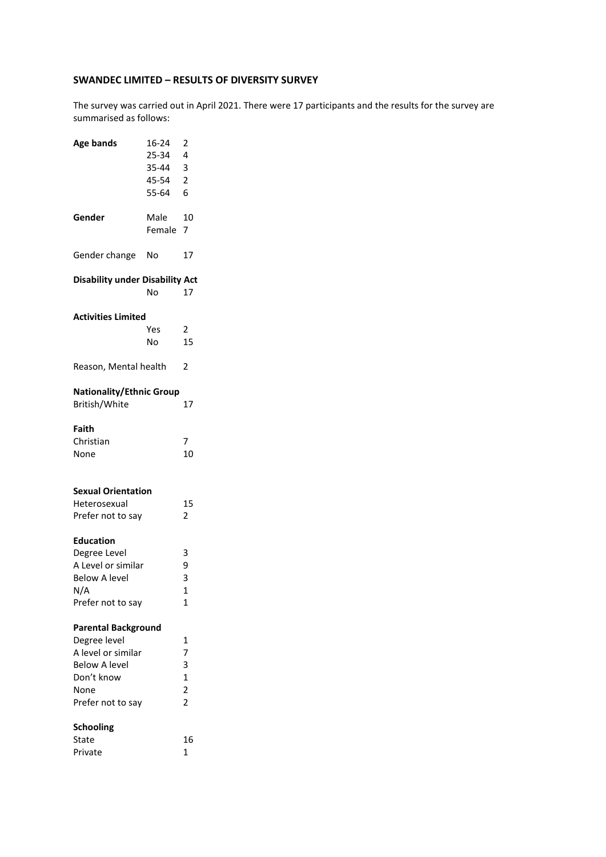## **SWANDEC LIMITED – RESULTS OF DIVERSITY SURVEY**

The survey was carried out in April 2021. There were 17 participants and the results for the survey are summarised as follows:

| <b>Age bands</b>                                                                                                                    | 16-24<br>25-34<br>35-44<br>45-54<br>55-64 | $\overline{\mathbf{c}}$<br>4<br>3<br>$\frac{2}{6}$                           |
|-------------------------------------------------------------------------------------------------------------------------------------|-------------------------------------------|------------------------------------------------------------------------------|
| Gender                                                                                                                              | Male<br>Female                            | 10<br>7                                                                      |
| Gender change                                                                                                                       | No                                        | 17                                                                           |
| <b>Disability under Disability Act</b>                                                                                              | No                                        | 17                                                                           |
| <b>Activities Limited</b>                                                                                                           | Yes<br>No                                 | $\overline{2}$<br>15                                                         |
| Reason, Mental health                                                                                                               |                                           | 2                                                                            |
| <b>Nationality/Ethnic Group</b><br>British/White                                                                                    |                                           | 17                                                                           |
| Faith<br>Christian<br>None                                                                                                          |                                           | 7<br>10                                                                      |
| <b>Sexual Orientation</b><br>Heterosexual<br>Prefer not to say                                                                      |                                           | 15<br>2                                                                      |
| <b>Education</b><br>Degree Level<br>A Level or similar<br><b>Below A level</b><br>N/A<br>Prefer not to say                          |                                           | 3<br>9<br>3<br>$\overline{1}$<br>1                                           |
| <b>Parental Background</b><br>Degree level<br>A level or similar<br><b>Below A level</b><br>Don't know<br>None<br>Prefer not to say |                                           | 1<br>$\overline{7}$<br>3<br>$\mathbf{1}$<br>$\overline{2}$<br>$\overline{2}$ |
| <b>Schooling</b><br>State<br>Private                                                                                                |                                           | 16<br>$\mathbf{1}$                                                           |